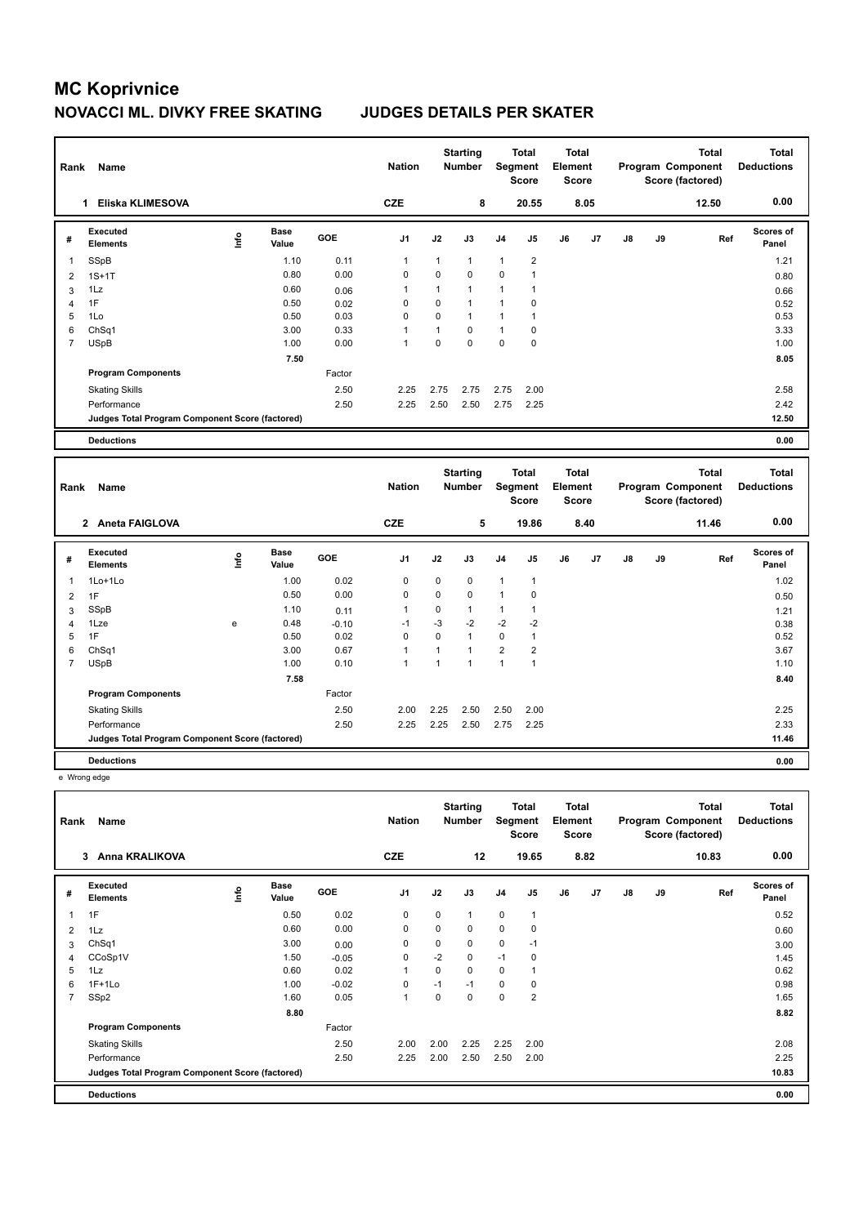| Rank           | Name                                            |      |                      |              | <b>Nation</b>  |                | <b>Starting</b><br><b>Number</b> |                | <b>Total</b><br>Segment<br><b>Score</b> | <b>Total</b><br>Element<br>Score        |      |    |    | <b>Total</b><br>Program Component<br>Score (factored) | <b>Total</b><br><b>Deductions</b> |
|----------------|-------------------------------------------------|------|----------------------|--------------|----------------|----------------|----------------------------------|----------------|-----------------------------------------|-----------------------------------------|------|----|----|-------------------------------------------------------|-----------------------------------|
|                | 1 Eliska KLIMESOVA                              |      |                      |              | <b>CZE</b>     |                | 8                                |                | 20.55                                   |                                         | 8.05 |    |    | 12.50                                                 | 0.00                              |
| #              | <b>Executed</b><br><b>Elements</b>              | ١nf٥ | <b>Base</b><br>Value | GOE          | J <sub>1</sub> | J2             | J3                               | J4             | J <sub>5</sub>                          | J6                                      | J7   | J8 | J9 | Ref                                                   | Scores of<br>Panel                |
| 1              | <b>SSpB</b>                                     |      | 1.10                 | 0.11         | $\mathbf{1}$   | 1              | $\mathbf{1}$                     | 1              | $\overline{2}$                          |                                         |      |    |    |                                                       | 1.21                              |
| 2              | $1S+1T$                                         |      | 0.80                 | 0.00         | 0              | 0              | $\mathbf 0$                      | 0              | $\mathbf{1}$                            |                                         |      |    |    |                                                       | 0.80                              |
| 3              | 1Lz                                             |      | 0.60                 | 0.06         | 1              | $\mathbf{1}$   | $\mathbf{1}$                     | $\mathbf{1}$   | $\mathbf{1}$                            |                                         |      |    |    |                                                       | 0.66                              |
| $\overline{4}$ | 1F                                              |      | 0.50                 | 0.02         | 0              | 0              | $\mathbf{1}$                     | $\mathbf{1}$   | $\mathbf 0$                             |                                         |      |    |    |                                                       | 0.52                              |
| 5              | 1Lo                                             |      | 0.50                 | 0.03         | $\overline{0}$ | $\overline{0}$ | $\mathbf{1}$                     | $\mathbf{1}$   | $\mathbf{1}$                            |                                         |      |    |    |                                                       | 0.53                              |
| 6              | Ch <sub>Sq1</sub>                               |      | 3.00                 | 0.33         | 1              | $\mathbf{1}$   | $\mathbf 0$                      | $\mathbf{1}$   | 0                                       |                                         |      |    |    |                                                       | 3.33                              |
| $\overline{7}$ | <b>USpB</b>                                     |      | 1.00                 | 0.00         | $\mathbf{1}$   | 0              | $\mathbf 0$                      | $\mathbf 0$    | $\mathbf 0$                             |                                         |      |    |    |                                                       | 1.00                              |
|                |                                                 |      | 7.50                 |              |                |                |                                  |                |                                         |                                         |      |    |    |                                                       | 8.05                              |
|                | <b>Program Components</b>                       |      |                      | Factor       |                |                |                                  |                |                                         |                                         |      |    |    |                                                       |                                   |
|                | <b>Skating Skills</b>                           |      |                      | 2.50         | 2.25           | 2.75           | 2.75                             | 2.75           | 2.00                                    |                                         |      |    |    |                                                       | 2.58                              |
|                | Performance                                     |      |                      | 2.50         | 2.25           | 2.50           | 2.50                             | 2.75           | 2.25                                    |                                         |      |    |    |                                                       | 2.42                              |
|                | Judges Total Program Component Score (factored) |      |                      |              |                |                |                                  |                |                                         |                                         |      |    |    |                                                       | 12.50                             |
|                |                                                 |      |                      |              |                |                |                                  |                |                                         |                                         |      |    |    |                                                       | 0.00                              |
|                | <b>Deductions</b>                               |      |                      |              |                |                |                                  |                |                                         |                                         |      |    |    |                                                       |                                   |
|                |                                                 |      |                      |              |                |                |                                  |                |                                         |                                         |      |    |    |                                                       |                                   |
| Rank           | Name                                            |      |                      |              | <b>Nation</b>  |                | <b>Starting</b><br>Number        | Segment        | <b>Total</b><br><b>Score</b>            | <b>Total</b><br>Element<br><b>Score</b> |      |    |    | <b>Total</b><br>Program Component<br>Score (factored) | <b>Total</b><br><b>Deductions</b> |
|                | 2 Aneta FAIGLOVA                                |      |                      |              | <b>CZE</b>     |                | 5                                |                | 19.86                                   |                                         | 8.40 |    |    | 11.46                                                 | 0.00                              |
| #              | <b>Executed</b><br><b>Elements</b>              | ١rfo | <b>Base</b><br>Value | GOE          | J <sub>1</sub> | J2             | J3                               | J4             | J5                                      | J6                                      | J7   | J8 | J9 | Ref                                                   | Scores of<br>Panel                |
| 1              | 1Lo+1Lo                                         |      | 1.00                 | 0.02         | 0              | 0              | $\mathbf 0$                      | $\mathbf{1}$   | $\mathbf{1}$                            |                                         |      |    |    |                                                       | 1.02                              |
| $\overline{2}$ | 1F                                              |      | 0.50                 | 0.00         | 0              | 0              | $\mathbf 0$                      | $\mathbf{1}$   | $\mathbf 0$                             |                                         |      |    |    |                                                       | 0.50                              |
| 3              | <b>SSpB</b>                                     |      | 1.10                 | 0.11         | $\mathbf{1}$   | 0              | $\mathbf{1}$                     | $\mathbf{1}$   | $\mathbf{1}$                            |                                         |      |    |    |                                                       |                                   |
| $\overline{4}$ | 1Lze                                            | e    | 0.48                 | $-0.10$      | $-1$           | $-3$           | $-2$                             | $-2$           | $-2$                                    |                                         |      |    |    |                                                       | 1.21                              |
| 5              | 1F                                              |      | 0.50                 | 0.02         | $\mathbf 0$    | $\mathbf 0$    | $\mathbf{1}$                     | $\mathbf 0$    | $\mathbf{1}$                            |                                         |      |    |    |                                                       | 0.38<br>0.52                      |
| 6              | ChSq1                                           |      | 3.00                 | 0.67         | 1              | $\mathbf{1}$   | $\mathbf{1}$                     | $\overline{2}$ | $\overline{2}$                          |                                         |      |    |    |                                                       | 3.67                              |
| $\overline{7}$ | <b>USpB</b>                                     |      | 1.00                 | 0.10         | $\mathbf{1}$   | $\mathbf{1}$   | $\mathbf{1}$                     | $\mathbf{1}$   | $\mathbf{1}$                            |                                         |      |    |    |                                                       | 1.10                              |
|                |                                                 |      | 7.58                 |              |                |                |                                  |                |                                         |                                         |      |    |    |                                                       | 8.40                              |
|                | <b>Program Components</b>                       |      |                      | Factor       |                |                |                                  |                |                                         |                                         |      |    |    |                                                       |                                   |
|                |                                                 |      |                      |              |                |                |                                  |                |                                         |                                         |      |    |    |                                                       |                                   |
|                | <b>Skating Skills</b><br>Performance            |      |                      | 2.50<br>2.50 | 2.00<br>2.25   | 2.25<br>2.25   | 2.50<br>2.50                     | 2.50<br>2.75   | 2.00<br>2.25                            |                                         |      |    |    |                                                       | 2.25<br>2.33                      |

e Wrong edge

| Rank           | Name                                            |      |                      |         | <b>Nation</b>  |             | <b>Starting</b><br><b>Number</b> | Segment        | <b>Total</b><br><b>Score</b> | <b>Total</b><br>Element<br><b>Score</b> |      |               |    | <b>Total</b><br>Program Component<br>Score (factored) | <b>Total</b><br><b>Deductions</b> |
|----------------|-------------------------------------------------|------|----------------------|---------|----------------|-------------|----------------------------------|----------------|------------------------------|-----------------------------------------|------|---------------|----|-------------------------------------------------------|-----------------------------------|
|                | <b>Anna KRALIKOVA</b><br>3                      |      |                      |         | <b>CZE</b>     |             | 12                               |                | 19.65                        |                                         | 8.82 |               |    | 10.83                                                 | 0.00                              |
| #              | Executed<br><b>Elements</b>                     | Life | <b>Base</b><br>Value | GOE     | J <sub>1</sub> | J2          | J3                               | J <sub>4</sub> | J5                           | J6                                      | J7   | $\mathsf{J}8$ | J9 | Ref                                                   | <b>Scores of</b><br>Panel         |
|                | 1F                                              |      | 0.50                 | 0.02    | $\mathbf 0$    | $\mathbf 0$ | $\mathbf{1}$                     | $\mathbf 0$    | $\mathbf{1}$                 |                                         |      |               |    |                                                       | 0.52                              |
| $\overline{2}$ | 1Lz                                             |      | 0.60                 | 0.00    | 0              | 0           | 0                                | 0              | 0                            |                                         |      |               |    |                                                       | 0.60                              |
| 3              | ChSq1                                           |      | 3.00                 | 0.00    | 0              | 0           | 0                                | $\mathbf 0$    | $-1$                         |                                         |      |               |    |                                                       | 3.00                              |
| 4              | CCoSp1V                                         |      | 1.50                 | $-0.05$ | 0              | $-2$        | 0                                | $-1$           | 0                            |                                         |      |               |    |                                                       | 1.45                              |
| 5              | 1Lz                                             |      | 0.60                 | 0.02    | $\overline{1}$ | $\Omega$    | $\Omega$                         | 0              |                              |                                         |      |               |    |                                                       | 0.62                              |
| 6              | $1F+1Lo$                                        |      | 1.00                 | $-0.02$ | 0              | $-1$        | $-1$                             | 0              | 0                            |                                         |      |               |    |                                                       | 0.98                              |
| $\overline{7}$ | SSp2                                            |      | 1.60                 | 0.05    | $\mathbf{1}$   | $\Omega$    | 0                                | $\mathbf 0$    | $\overline{2}$               |                                         |      |               |    |                                                       | 1.65                              |
|                |                                                 |      | 8.80                 |         |                |             |                                  |                |                              |                                         |      |               |    |                                                       | 8.82                              |
|                | <b>Program Components</b>                       |      |                      | Factor  |                |             |                                  |                |                              |                                         |      |               |    |                                                       |                                   |
|                | <b>Skating Skills</b>                           |      |                      | 2.50    | 2.00           | 2.00        | 2.25                             | 2.25           | 2.00                         |                                         |      |               |    |                                                       | 2.08                              |
|                | Performance                                     |      |                      | 2.50    | 2.25           | 2.00        | 2.50                             | 2.50           | 2.00                         |                                         |      |               |    |                                                       | 2.25                              |
|                | Judges Total Program Component Score (factored) |      |                      |         |                |             |                                  |                |                              |                                         |      |               |    |                                                       | 10.83                             |
|                | <b>Deductions</b>                               |      |                      |         |                |             |                                  |                |                              |                                         |      |               |    |                                                       | 0.00                              |

**Deductions 0.00**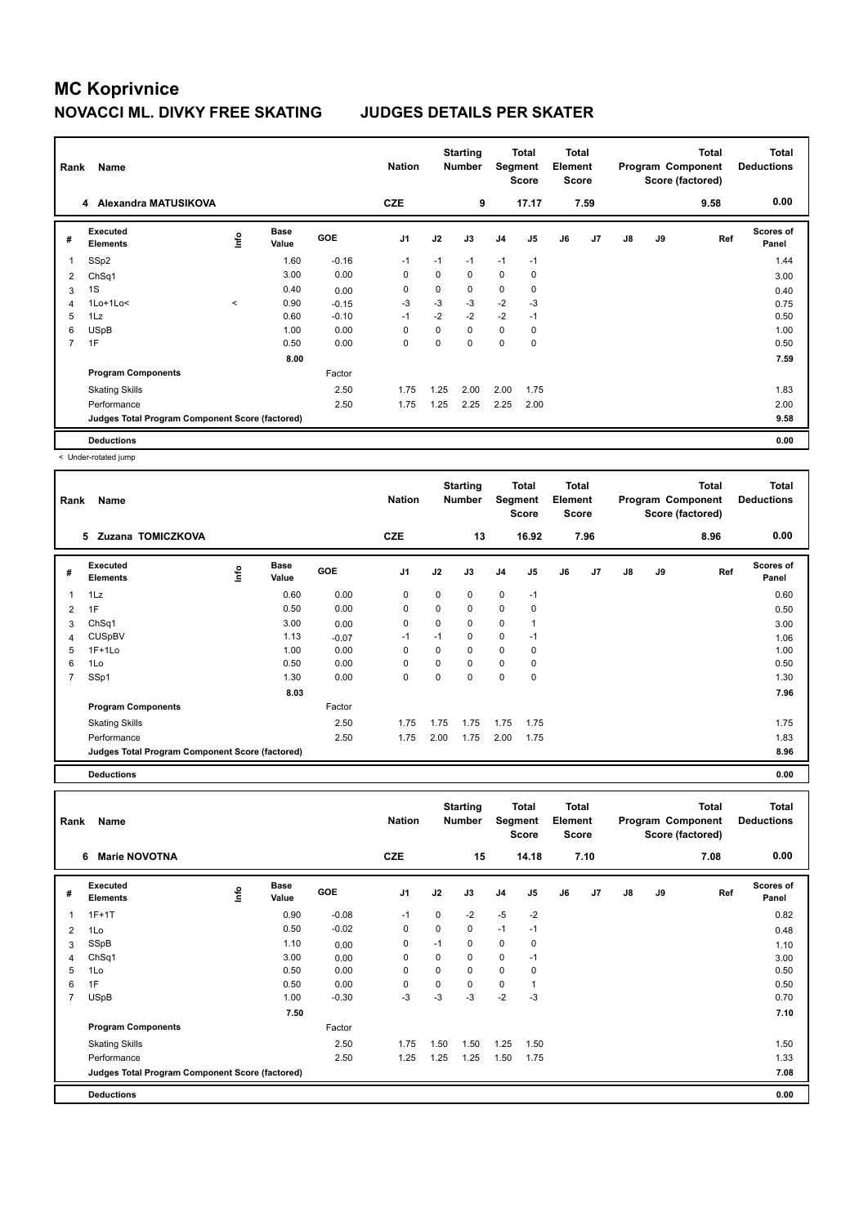| Rank           | Name                                            |         |                      |            | <b>Nation</b>  |      | <b>Starting</b><br><b>Number</b> | Segment        | Total<br><b>Score</b> | Total<br>Element<br><b>Score</b> |                |               |    | <b>Total</b><br>Program Component<br>Score (factored) | <b>Total</b><br><b>Deductions</b> |
|----------------|-------------------------------------------------|---------|----------------------|------------|----------------|------|----------------------------------|----------------|-----------------------|----------------------------------|----------------|---------------|----|-------------------------------------------------------|-----------------------------------|
|                | Alexandra MATUSIKOVA<br>4                       |         |                      |            | <b>CZE</b>     |      | 9                                |                | 17.17                 |                                  | 7.59           |               |    | 9.58                                                  | 0.00                              |
| #              | Executed<br><b>Elements</b>                     | ۴       | <b>Base</b><br>Value | <b>GOE</b> | J <sub>1</sub> | J2   | J3                               | J <sub>4</sub> | J <sub>5</sub>        | J6                               | J <sub>7</sub> | $\mathsf{J}8$ | J9 | Ref                                                   | <b>Scores of</b><br>Panel         |
| 1              | SSp2                                            |         | 1.60                 | $-0.16$    | $-1$           | $-1$ | $-1$                             | $-1$           | $-1$                  |                                  |                |               |    |                                                       | 1.44                              |
| 2              | Ch <sub>Sq1</sub>                               |         | 3.00                 | 0.00       | 0              | 0    | 0                                | $\mathbf 0$    | 0                     |                                  |                |               |    |                                                       | 3.00                              |
| 3              | 1S                                              |         | 0.40                 | 0.00       | 0              | 0    | 0                                | $\mathbf 0$    | 0                     |                                  |                |               |    |                                                       | 0.40                              |
| 4              | $1$ Lo $+1$ Lo $<$                              | $\prec$ | 0.90                 | $-0.15$    | $-3$           | $-3$ | $-3$                             | $-2$           | -3                    |                                  |                |               |    |                                                       | 0.75                              |
| 5              | 1Lz                                             |         | 0.60                 | $-0.10$    | $-1$           | $-2$ | $-2$                             | $-2$           | $-1$                  |                                  |                |               |    |                                                       | 0.50                              |
| 6              | <b>USpB</b>                                     |         | 1.00                 | 0.00       | 0              | 0    | 0                                | $\mathbf 0$    | 0                     |                                  |                |               |    |                                                       | 1.00                              |
| $\overline{7}$ | 1F                                              |         | 0.50                 | 0.00       | 0              | 0    | 0                                | 0              | 0                     |                                  |                |               |    |                                                       | 0.50                              |
|                |                                                 |         | 8.00                 |            |                |      |                                  |                |                       |                                  |                |               |    |                                                       | 7.59                              |
|                | <b>Program Components</b>                       |         |                      | Factor     |                |      |                                  |                |                       |                                  |                |               |    |                                                       |                                   |
|                | <b>Skating Skills</b>                           |         |                      | 2.50       | 1.75           | 1.25 | 2.00                             | 2.00           | 1.75                  |                                  |                |               |    |                                                       | 1.83                              |
|                | Performance                                     |         |                      | 2.50       | 1.75           | 1.25 | 2.25                             | 2.25           | 2.00                  |                                  |                |               |    |                                                       | 2.00                              |
|                | Judges Total Program Component Score (factored) |         |                      |            |                |      |                                  |                |                       |                                  |                |               |    |                                                       | 9.58                              |
|                | <b>Deductions</b>                               |         |                      |            |                |      |                                  |                |                       |                                  |                |               |    |                                                       | 0.00                              |

< Under-rotated jump

| Rank | Name                                            |      |                      |            | <b>Nation</b>  |          | <b>Starting</b><br>Number | Segment     | Total<br><b>Score</b> | <b>Total</b><br>Element<br><b>Score</b> |      |    |    | <b>Total</b><br>Program Component<br>Score (factored) | <b>Total</b><br><b>Deductions</b> |
|------|-------------------------------------------------|------|----------------------|------------|----------------|----------|---------------------------|-------------|-----------------------|-----------------------------------------|------|----|----|-------------------------------------------------------|-----------------------------------|
|      | Zuzana TOMICZKOVA<br>5                          |      |                      |            | <b>CZE</b>     |          | 13                        |             | 16.92                 |                                         | 7.96 |    |    | 8.96                                                  | 0.00                              |
| #    | Executed<br><b>Elements</b>                     | lnfo | <b>Base</b><br>Value | <b>GOE</b> | J <sub>1</sub> | J2       | J3                        | J4          | J5                    | J6                                      | J7   | J8 | J9 | Ref                                                   | Scores of<br>Panel                |
| 1    | 1Lz                                             |      | 0.60                 | 0.00       | 0              | 0        | 0                         | $\mathbf 0$ | $-1$                  |                                         |      |    |    |                                                       | 0.60                              |
| 2    | 1F                                              |      | 0.50                 | 0.00       | 0              | $\Omega$ | 0                         | $\mathbf 0$ | 0                     |                                         |      |    |    |                                                       | 0.50                              |
| 3    | ChSq1                                           |      | 3.00                 | 0.00       | 0              | 0        | 0                         | 0           |                       |                                         |      |    |    |                                                       | 3.00                              |
| 4    | <b>CUSpBV</b>                                   |      | 1.13                 | $-0.07$    | $-1$           | $-1$     | 0                         | 0           | $-1$                  |                                         |      |    |    |                                                       | 1.06                              |
| 5    | $1F+1Lo$                                        |      | 1.00                 | 0.00       | 0              | 0        | 0                         | $\mathbf 0$ | 0                     |                                         |      |    |    |                                                       | 1.00                              |
| 6    | 1Lo                                             |      | 0.50                 | 0.00       | 0              | 0        | 0                         | $\mathbf 0$ | 0                     |                                         |      |    |    |                                                       | 0.50                              |
| 7    | SSp1                                            |      | 1.30                 | 0.00       | 0              | 0        | 0                         | $\pmb{0}$   | $\mathbf 0$           |                                         |      |    |    |                                                       | 1.30                              |
|      |                                                 |      | 8.03                 |            |                |          |                           |             |                       |                                         |      |    |    |                                                       | 7.96                              |
|      | <b>Program Components</b>                       |      |                      | Factor     |                |          |                           |             |                       |                                         |      |    |    |                                                       |                                   |
|      | <b>Skating Skills</b>                           |      |                      | 2.50       | 1.75           | 1.75     | 1.75                      | 1.75        | 1.75                  |                                         |      |    |    |                                                       | 1.75                              |
|      | Performance                                     |      |                      | 2.50       | 1.75           | 2.00     | 1.75                      | 2.00        | 1.75                  |                                         |      |    |    |                                                       | 1.83                              |
|      | Judges Total Program Component Score (factored) |      |                      |            |                |          |                           |             |                       |                                         |      |    |    |                                                       | 8.96                              |
|      | <b>Deductions</b>                               |      |                      |            |                |          |                           |             |                       |                                         |      |    |    |                                                       | 0.00                              |

| Rank           | Name                                            |             |                      |         | <b>Nation</b>  |      | <b>Starting</b><br><b>Number</b> | Segment        | Total<br><b>Score</b> | <b>Total</b><br>Element<br><b>Score</b> |      |               |    | <b>Total</b><br>Program Component<br>Score (factored) | Total<br><b>Deductions</b> |
|----------------|-------------------------------------------------|-------------|----------------------|---------|----------------|------|----------------------------------|----------------|-----------------------|-----------------------------------------|------|---------------|----|-------------------------------------------------------|----------------------------|
|                | <b>Marie NOVOTNA</b><br>6                       |             |                      |         | <b>CZE</b>     |      | 15                               |                | 14.18                 |                                         | 7.10 |               |    | 7.08                                                  | 0.00                       |
| #              | Executed<br><b>Elements</b>                     | <u>info</u> | <b>Base</b><br>Value | GOE     | J <sub>1</sub> | J2   | J3                               | J <sub>4</sub> | J5                    | J6                                      | J7   | $\mathsf{J}8$ | J9 | Ref                                                   | <b>Scores of</b><br>Panel  |
| 1              | $1F+1T$                                         |             | 0.90                 | $-0.08$ | $-1$           | 0    | $-2$                             | $-5$           | $-2$                  |                                         |      |               |    |                                                       | 0.82                       |
| 2              | 1Lo                                             |             | 0.50                 | $-0.02$ | 0              | 0    | $\mathbf 0$                      | $-1$           | $-1$                  |                                         |      |               |    |                                                       | 0.48                       |
| 3              | SSpB                                            |             | 1.10                 | 0.00    | 0              | $-1$ | $\mathbf 0$                      | 0              | 0                     |                                         |      |               |    |                                                       | 1.10                       |
| 4              | ChSq1                                           |             | 3.00                 | 0.00    | 0              | 0    | 0                                | $\mathbf 0$    | $-1$                  |                                         |      |               |    |                                                       | 3.00                       |
| 5              | 1Lo                                             |             | 0.50                 | 0.00    | 0              | 0    | $\mathbf 0$                      | $\mathbf 0$    | 0                     |                                         |      |               |    |                                                       | 0.50                       |
| 6              | 1F                                              |             | 0.50                 | 0.00    | 0              | 0    | 0                                | 0              | 1                     |                                         |      |               |    |                                                       | 0.50                       |
| $\overline{7}$ | <b>USpB</b>                                     |             | 1.00                 | $-0.30$ | $-3$           | $-3$ | $-3$                             | $-2$           | $-3$                  |                                         |      |               |    |                                                       | 0.70                       |
|                |                                                 |             | 7.50                 |         |                |      |                                  |                |                       |                                         |      |               |    |                                                       | 7.10                       |
|                | <b>Program Components</b>                       |             |                      | Factor  |                |      |                                  |                |                       |                                         |      |               |    |                                                       |                            |
|                | <b>Skating Skills</b>                           |             |                      | 2.50    | 1.75           | 1.50 | 1.50                             | 1.25           | 1.50                  |                                         |      |               |    |                                                       | 1.50                       |
|                | Performance                                     |             |                      | 2.50    | 1.25           | 1.25 | 1.25                             | 1.50           | 1.75                  |                                         |      |               |    |                                                       | 1.33                       |
|                | Judges Total Program Component Score (factored) |             |                      |         |                |      |                                  |                |                       |                                         |      |               |    |                                                       | 7.08                       |
|                | <b>Deductions</b>                               |             |                      |         |                |      |                                  |                |                       |                                         |      |               |    |                                                       | 0.00                       |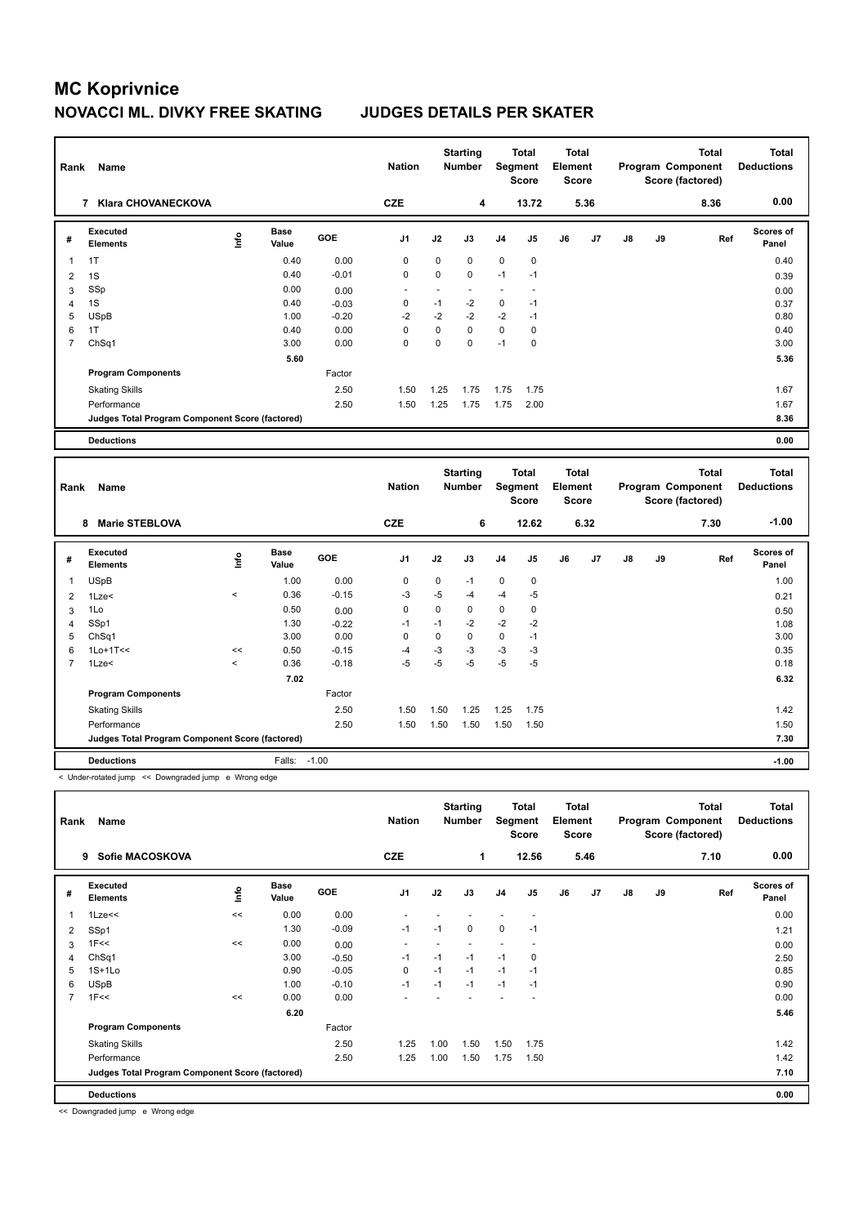| Rank           | Name                                            |   |                      |            | <b>Nation</b>            |      | <b>Starting</b><br><b>Number</b> |                | <b>Total</b><br>Segment<br><b>Score</b> | <b>Total</b><br>Element<br><b>Score</b> |      |               |    | <b>Total</b><br>Program Component<br>Score (factored) | <b>Total</b><br><b>Deductions</b> |
|----------------|-------------------------------------------------|---|----------------------|------------|--------------------------|------|----------------------------------|----------------|-----------------------------------------|-----------------------------------------|------|---------------|----|-------------------------------------------------------|-----------------------------------|
|                | <b>Klara CHOVANECKOVA</b><br>7                  |   |                      |            | <b>CZE</b>               |      | 4                                |                | 13.72                                   |                                         | 5.36 |               |    | 8.36                                                  | 0.00                              |
| #              | <b>Executed</b><br><b>Elements</b>              | e | <b>Base</b><br>Value | <b>GOE</b> | J <sub>1</sub>           | J2   | J3                               | J <sub>4</sub> | J5                                      | J6                                      | J7   | $\mathsf{J}8$ | J9 | Ref                                                   | <b>Scores of</b><br>Panel         |
| 1              | 1T                                              |   | 0.40                 | 0.00       | 0                        | 0    | $\mathbf 0$                      | $\mathbf 0$    | $\mathbf 0$                             |                                         |      |               |    |                                                       | 0.40                              |
| $\overline{2}$ | 1S                                              |   | 0.40                 | $-0.01$    | 0                        | 0    | $\mathbf 0$                      | $-1$           | $-1$                                    |                                         |      |               |    |                                                       | 0.39                              |
| 3              | SSp                                             |   | 0.00                 | 0.00       | $\overline{\phantom{a}}$ | ٠    | $\overline{\phantom{a}}$         | $\overline{a}$ |                                         |                                         |      |               |    |                                                       | 0.00                              |
| 4              | 1S                                              |   | 0.40                 | $-0.03$    | 0                        | $-1$ | -2                               | 0              | $-1$                                    |                                         |      |               |    |                                                       | 0.37                              |
| 5              | <b>USpB</b>                                     |   | 1.00                 | $-0.20$    | $-2$                     | $-2$ | $-2$                             | $-2$           | $-1$                                    |                                         |      |               |    |                                                       | 0.80                              |
| 6              | 1T                                              |   | 0.40                 | 0.00       | $\Omega$                 | 0    | $\Omega$                         | $\mathbf 0$    | 0                                       |                                         |      |               |    |                                                       | 0.40                              |
| $\overline{7}$ | ChSq1                                           |   | 3.00                 | 0.00       | 0                        | 0    | $\mathbf 0$                      | $-1$           | 0                                       |                                         |      |               |    |                                                       | 3.00                              |
|                |                                                 |   | 5.60                 |            |                          |      |                                  |                |                                         |                                         |      |               |    |                                                       | 5.36                              |
|                | <b>Program Components</b>                       |   |                      | Factor     |                          |      |                                  |                |                                         |                                         |      |               |    |                                                       |                                   |
|                | <b>Skating Skills</b>                           |   |                      | 2.50       | 1.50                     | 1.25 | 1.75                             | 1.75           | 1.75                                    |                                         |      |               |    |                                                       | 1.67                              |
|                | Performance                                     |   |                      | 2.50       | 1.50                     | 1.25 | 1.75                             | 1.75           | 2.00                                    |                                         |      |               |    |                                                       | 1.67                              |
|                | Judges Total Program Component Score (factored) |   |                      |            |                          |      |                                  |                |                                         |                                         |      |               |    |                                                       | 8.36                              |
|                | <b>Deductions</b>                               |   |                      |            |                          |      |                                  |                |                                         |                                         |      |               |    |                                                       | 0.00                              |
|                |                                                 |   |                      |            |                          |      |                                  |                |                                         |                                         |      |               |    |                                                       |                                   |
| Rank           | Name                                            |   |                      |            | <b>Nation</b>            |      | <b>Starting</b><br><b>Number</b> |                | <b>Total</b><br>Segment<br><b>Score</b> | <b>Total</b><br>Element<br><b>Score</b> |      |               |    | <b>Total</b><br>Program Component<br>Score (factored) | <b>Total</b><br><b>Deductions</b> |

|                |                                                 |                          |               |         |                |             |      |                | <b>Score</b>   | <b>Score</b> |      |    |    | Score (factored) |                           |
|----------------|-------------------------------------------------|--------------------------|---------------|---------|----------------|-------------|------|----------------|----------------|--------------|------|----|----|------------------|---------------------------|
|                | <b>Marie STEBLOVA</b><br>8                      |                          |               |         | <b>CZE</b>     |             | 6    |                | 12.62          |              | 6.32 |    |    | 7.30             | $-1.00$                   |
| #              | <b>Executed</b><br><b>Elements</b>              | lnfo                     | Base<br>Value | GOE     | J <sub>1</sub> | J2          | J3   | J <sub>4</sub> | J <sub>5</sub> | J6           | J7   | J8 | J9 | Ref              | <b>Scores of</b><br>Panel |
| 1              | <b>USpB</b>                                     |                          | 1.00          | 0.00    | 0              | $\mathbf 0$ | $-1$ | $\mathbf 0$    | 0              |              |      |    |    |                  | 1.00                      |
| 2              | 1Lze<                                           | $\overline{\phantom{a}}$ | 0.36          | $-0.15$ | $-3$           | $-5$        | $-4$ | $-4$           | -5             |              |      |    |    |                  | 0.21                      |
| 3              | 1Lo                                             |                          | 0.50          | 0.00    | 0              | $\mathbf 0$ | 0    | $\mathbf 0$    | 0              |              |      |    |    |                  | 0.50                      |
| 4              | SSp1                                            |                          | 1.30          | $-0.22$ | $-1$           | $-1$        | $-2$ | $-2$           | $-2$           |              |      |    |    |                  | 1.08                      |
| 5              | ChSq1                                           |                          | 3.00          | 0.00    | 0              | 0           | 0    | $\mathbf 0$    | $-1$           |              |      |    |    |                  | 3.00                      |
| 6              | $1$ Lo $+1$ T<<                                 | <<                       | 0.50          | $-0.15$ | $-4$           | $-3$        | $-3$ | $-3$           | -3             |              |      |    |    |                  | 0.35                      |
| $\overline{7}$ | 1Lze<                                           | $\overline{\phantom{a}}$ | 0.36          | $-0.18$ | $-5$           | $-5$        | $-5$ | $-5$           | $-5$           |              |      |    |    |                  | 0.18                      |
|                |                                                 |                          | 7.02          |         |                |             |      |                |                |              |      |    |    |                  | 6.32                      |
|                | <b>Program Components</b>                       |                          |               | Factor  |                |             |      |                |                |              |      |    |    |                  |                           |
|                | <b>Skating Skills</b>                           |                          |               | 2.50    | 1.50           | 1.50        | 1.25 | 1.25           | 1.75           |              |      |    |    |                  | 1.42                      |
|                | Performance                                     |                          |               | 2.50    | 1.50           | 1.50        | 1.50 | 1.50           | 1.50           |              |      |    |    |                  | 1.50                      |
|                | Judges Total Program Component Score (factored) |                          |               |         |                |             |      |                |                |              |      |    |    |                  | 7.30                      |
|                | <b>Deductions</b>                               |                          | Falls:        | $-1.00$ |                |             |      |                |                |              |      |    |    |                  | $-1.00$                   |

< Under-rotated jump << Downgraded jump e Wrong edge

| Rank | Name                                            |      |                      |            | <b>Nation</b>  |      | <b>Starting</b><br><b>Number</b> | Segment        | <b>Total</b><br><b>Score</b> | <b>Total</b><br>Element<br><b>Score</b> |      |               |    | <b>Total</b><br>Program Component<br>Score (factored) | Total<br><b>Deductions</b> |
|------|-------------------------------------------------|------|----------------------|------------|----------------|------|----------------------------------|----------------|------------------------------|-----------------------------------------|------|---------------|----|-------------------------------------------------------|----------------------------|
|      | Sofie MACOSKOVA<br>9                            |      |                      |            | <b>CZE</b>     |      | 1                                |                | 12.56                        |                                         | 5.46 |               |    | 7.10                                                  | 0.00                       |
| #    | Executed<br><b>Elements</b>                     | ١nfo | <b>Base</b><br>Value | <b>GOE</b> | J <sub>1</sub> | J2   | J3                               | J <sub>4</sub> | J <sub>5</sub>               | J6                                      | J7   | $\mathsf{J}8$ | J9 | Ref                                                   | <b>Scores of</b><br>Panel  |
| 1    | $1$ Lze $<<$                                    | <<   | 0.00                 | 0.00       |                |      |                                  |                | $\overline{\phantom{a}}$     |                                         |      |               |    |                                                       | 0.00                       |
| 2    | SSp1                                            |      | 1.30                 | $-0.09$    | $-1$           | $-1$ | 0                                | $\mathbf 0$    | $-1$                         |                                         |      |               |    |                                                       | 1.21                       |
| 3    | 1F<<                                            | <<   | 0.00                 | 0.00       |                |      |                                  |                |                              |                                         |      |               |    |                                                       | 0.00                       |
| 4    | ChSq1                                           |      | 3.00                 | $-0.50$    | $-1$           | $-1$ | $-1$                             | $-1$           | 0                            |                                         |      |               |    |                                                       | 2.50                       |
| 5    | $1S+1Lo$                                        |      | 0.90                 | $-0.05$    | 0              | $-1$ | $-1$                             | $-1$           | $-1$                         |                                         |      |               |    |                                                       | 0.85                       |
| 6    | <b>USpB</b>                                     |      | 1.00                 | $-0.10$    | $-1$           | $-1$ | $-1$                             | $-1$           | $-1$                         |                                         |      |               |    |                                                       | 0.90                       |
| 7    | 1F<<                                            | <<   | 0.00                 | 0.00       |                |      |                                  |                |                              |                                         |      |               |    |                                                       | 0.00                       |
|      |                                                 |      | 6.20                 |            |                |      |                                  |                |                              |                                         |      |               |    |                                                       | 5.46                       |
|      | <b>Program Components</b>                       |      |                      | Factor     |                |      |                                  |                |                              |                                         |      |               |    |                                                       |                            |
|      | <b>Skating Skills</b>                           |      |                      | 2.50       | 1.25           | 1.00 | 1.50                             | 1.50           | 1.75                         |                                         |      |               |    |                                                       | 1.42                       |
|      | Performance                                     |      |                      | 2.50       | 1.25           | 1.00 | 1.50                             | 1.75           | 1.50                         |                                         |      |               |    |                                                       | 1.42                       |
|      | Judges Total Program Component Score (factored) |      |                      |            |                |      |                                  |                |                              |                                         |      |               |    |                                                       | 7.10                       |
|      | <b>Deductions</b>                               |      |                      |            |                |      |                                  |                |                              |                                         |      |               |    |                                                       | 0.00                       |

<< Downgraded jump e Wrong edge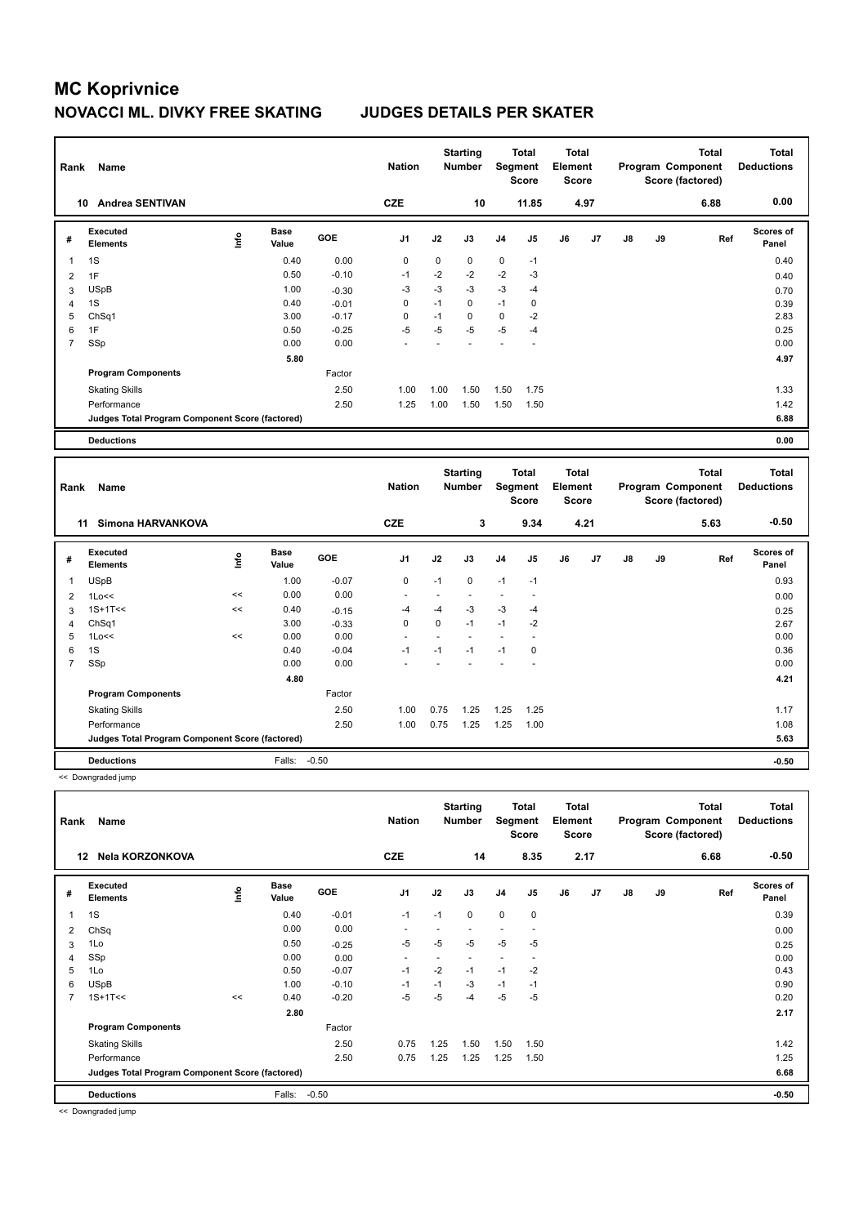| Rank           | Name                                            |      |                      |         | <b>Nation</b>  |                | <b>Starting</b><br><b>Number</b> |                | <b>Total</b><br>Segment<br>Score        | <b>Total</b><br>Element<br><b>Score</b> |      |               |    | <b>Total</b><br>Program Component<br>Score (factored) | <b>Total</b><br><b>Deductions</b> |
|----------------|-------------------------------------------------|------|----------------------|---------|----------------|----------------|----------------------------------|----------------|-----------------------------------------|-----------------------------------------|------|---------------|----|-------------------------------------------------------|-----------------------------------|
|                | <b>Andrea SENTIVAN</b><br>10                    |      |                      |         | <b>CZE</b>     |                | 10                               |                | 11.85                                   |                                         | 4.97 |               |    | 6.88                                                  | 0.00                              |
| #              | <b>Executed</b><br><b>Elements</b>              | lnfo | <b>Base</b><br>Value | GOE     | J1             | J2             | J3                               | J4             | J <sub>5</sub>                          | J6                                      | J7   | $\mathsf{J}8$ | J9 | Ref                                                   | Scores of<br>Panel                |
| $\overline{1}$ | 1S                                              |      | 0.40                 | 0.00    | $\mathbf 0$    | 0              | 0                                | 0              | $-1$                                    |                                         |      |               |    |                                                       | 0.40                              |
| $\overline{2}$ | 1F                                              |      | 0.50                 | $-0.10$ | $-1$           | $-2$           | $-2$                             | $-2$           | $-3$                                    |                                         |      |               |    |                                                       | 0.40                              |
| 3              | <b>USpB</b>                                     |      | 1.00                 | $-0.30$ | $-3$           | $-3$           | -3                               | $-3$           | $-4$                                    |                                         |      |               |    |                                                       | 0.70                              |
| 4              | 1S                                              |      | 0.40                 | $-0.01$ | $\mathbf 0$    | $-1$           | $\mathbf 0$                      | $-1$           | $\pmb{0}$                               |                                         |      |               |    |                                                       | 0.39                              |
| 5              | Ch <sub>Sq1</sub>                               |      | 3.00                 | $-0.17$ | $\mathbf 0$    | $-1$           | $\mathbf 0$                      | $\mathbf 0$    | $-2$                                    |                                         |      |               |    |                                                       | 2.83                              |
| 6              | 1F                                              |      | 0.50                 | $-0.25$ | $-5$           | $-5$           | -5                               | $-5$           | $-4$                                    |                                         |      |               |    |                                                       | 0.25                              |
| $\overline{7}$ | SSp                                             |      | 0.00                 | 0.00    |                |                |                                  |                | ä,                                      |                                         |      |               |    |                                                       | 0.00                              |
|                |                                                 |      | 5.80                 |         |                |                |                                  |                |                                         |                                         |      |               |    |                                                       | 4.97                              |
|                | <b>Program Components</b>                       |      |                      | Factor  |                |                |                                  |                |                                         |                                         |      |               |    |                                                       |                                   |
|                | <b>Skating Skills</b>                           |      |                      | 2.50    | 1.00           | 1.00           | 1.50                             | 1.50           | 1.75                                    |                                         |      |               |    |                                                       | 1.33                              |
|                | Performance                                     |      |                      | 2.50    | 1.25           | 1.00           | 1.50                             | 1.50           | 1.50                                    |                                         |      |               |    |                                                       | 1.42                              |
|                | Judges Total Program Component Score (factored) |      |                      |         |                |                |                                  |                |                                         |                                         |      |               |    |                                                       | 6.88                              |
|                |                                                 |      |                      |         |                |                |                                  |                |                                         |                                         |      |               |    |                                                       |                                   |
|                | <b>Deductions</b>                               |      |                      |         |                |                |                                  |                |                                         |                                         |      |               |    |                                                       | 0.00                              |
|                |                                                 |      |                      |         |                |                |                                  |                |                                         |                                         |      |               |    |                                                       |                                   |
| Rank           | <b>Name</b>                                     |      |                      |         | <b>Nation</b>  |                | <b>Starting</b><br>Number        |                | <b>Total</b><br>Segment<br><b>Score</b> | <b>Total</b><br>Element<br><b>Score</b> |      |               |    | <b>Total</b><br>Program Component<br>Score (factored) | <b>Total</b><br><b>Deductions</b> |
|                | <b>Simona HARVANKOVA</b><br>11                  |      |                      |         | <b>CZE</b>     |                | 3                                |                | 9.34                                    |                                         | 4.21 |               |    | 5.63                                                  | $-0.50$                           |
| #              | <b>Executed</b><br><b>Elements</b>              | lnfo | <b>Base</b><br>Value | GOE     | J <sub>1</sub> | J2             | J3                               | J4             | J <sub>5</sub>                          | J6                                      | J7   | J8            | J9 | Ref                                                   | Scores of<br>Panel                |
| $\overline{1}$ | <b>USpB</b>                                     |      | 1.00                 | $-0.07$ | 0              | $-1$           | 0                                | $-1$           | $-1$                                    |                                         |      |               |    |                                                       | 0.93                              |
| $\overline{2}$ | 1Lo<<                                           | <<   | 0.00                 | 0.00    | ÷.             | $\blacksquare$ | ä,                               | $\blacksquare$ | ä,                                      |                                         |      |               |    |                                                       | 0.00                              |
| 3              | $1S+1T<<$                                       | <<   | 0.40                 | $-0.15$ | $-4$           | $-4$           | -3                               | $-3$           | $-4$                                    |                                         |      |               |    |                                                       | 0.25                              |
| 4              | Ch <sub>Sq1</sub>                               |      | 3.00                 | $-0.33$ | $\mathbf 0$    | 0              | $-1$                             | $-1$           | $-2$                                    |                                         |      |               |    |                                                       | 2.67                              |
| 5              | 1Lo<<                                           | <<   | 0.00                 | 0.00    | $\overline{a}$ | ÷.             | L.                               | ÷.             | ÷.                                      |                                         |      |               |    |                                                       | 0.00                              |
| 6              | 1S                                              |      | 0.40                 | $-0.04$ | $-1$           | $-1$           | $-1$                             | $-1$           | 0                                       |                                         |      |               |    |                                                       | 0.36                              |
| $\overline{7}$ | SSp                                             |      | 0.00                 | 0.00    |                |                |                                  |                | ÷                                       |                                         |      |               |    |                                                       | 0.00                              |
|                |                                                 |      | 4.80                 |         |                |                |                                  |                |                                         |                                         |      |               |    |                                                       | 4.21                              |
|                | <b>Program Components</b>                       |      |                      | Factor  |                |                |                                  |                |                                         |                                         |      |               |    |                                                       |                                   |

<< Downgraded jump

| Rank           | Name                                            |             |                      |            | <b>Nation</b>            |      | <b>Starting</b><br>Number | Segment        | <b>Total</b><br>Score    | <b>Total</b><br>Element<br><b>Score</b> |      |               |    | <b>Total</b><br>Program Component<br>Score (factored) | <b>Total</b><br><b>Deductions</b> |
|----------------|-------------------------------------------------|-------------|----------------------|------------|--------------------------|------|---------------------------|----------------|--------------------------|-----------------------------------------|------|---------------|----|-------------------------------------------------------|-----------------------------------|
|                | Nela KORZONKOVA<br>12                           |             |                      |            | <b>CZE</b>               |      | 14                        |                | 8.35                     |                                         | 2.17 |               |    | 6.68                                                  | $-0.50$                           |
| #              | <b>Executed</b><br><b>Elements</b>              | <b>Info</b> | <b>Base</b><br>Value | <b>GOE</b> | J <sub>1</sub>           | J2   | J3                        | J <sub>4</sub> | J5                       | J6                                      | J7   | $\mathsf{J}8$ | J9 | Ref                                                   | <b>Scores of</b><br>Panel         |
| 1              | 1S                                              |             | 0.40                 | $-0.01$    | $-1$                     | $-1$ | $\mathbf 0$               | $\mathbf 0$    | $\mathbf 0$              |                                         |      |               |    |                                                       | 0.39                              |
| 2              | ChSq                                            |             | 0.00                 | 0.00       | $\overline{\phantom{a}}$ |      |                           |                | $\overline{\phantom{a}}$ |                                         |      |               |    |                                                       | 0.00                              |
| 3              | 1Lo                                             |             | 0.50                 | $-0.25$    | -5                       | $-5$ | $-5$                      | $-5$           | $-5$                     |                                         |      |               |    |                                                       | 0.25                              |
| 4              | SSp                                             |             | 0.00                 | 0.00       | $\overline{\phantom{a}}$ |      |                           |                |                          |                                         |      |               |    |                                                       | 0.00                              |
| 5              | 1Lo                                             |             | 0.50                 | $-0.07$    | $-1$                     | $-2$ | $-1$                      | $-1$           | $-2$                     |                                         |      |               |    |                                                       | 0.43                              |
| 6              | <b>USpB</b>                                     |             | 1.00                 | $-0.10$    | $-1$                     | $-1$ | $-3$                      | $-1$           | $-1$                     |                                         |      |               |    |                                                       | 0.90                              |
| $\overline{7}$ | $1S+1T<<$                                       | <<          | 0.40                 | $-0.20$    | $-5$                     | -5   | $-4$                      | $-5$           | $-5$                     |                                         |      |               |    |                                                       | 0.20                              |
|                |                                                 |             | 2.80                 |            |                          |      |                           |                |                          |                                         |      |               |    |                                                       | 2.17                              |
|                | <b>Program Components</b>                       |             |                      | Factor     |                          |      |                           |                |                          |                                         |      |               |    |                                                       |                                   |
|                | <b>Skating Skills</b>                           |             |                      | 2.50       | 0.75                     | 1.25 | 1.50                      | 1.50           | 1.50                     |                                         |      |               |    |                                                       | 1.42                              |
|                | Performance                                     |             |                      | 2.50       | 0.75                     | 1.25 | 1.25                      | 1.25           | 1.50                     |                                         |      |               |    |                                                       | 1.25                              |
|                | Judges Total Program Component Score (factored) |             |                      |            |                          |      |                           |                |                          |                                         |      |               |    |                                                       | 6.68                              |
|                | <b>Deductions</b>                               |             | Falls:               | $-0.50$    |                          |      |                           |                |                          |                                         |      |               |    |                                                       | $-0.50$                           |

Performance 2.50 1.00 0.75 1.25 1.25 1.00 1.08 1.08 1.08

**Deductions** Falls: -0.50 **-0.50 Judges Total Program Component Score (factored) 5.63**

<< Downgraded jump